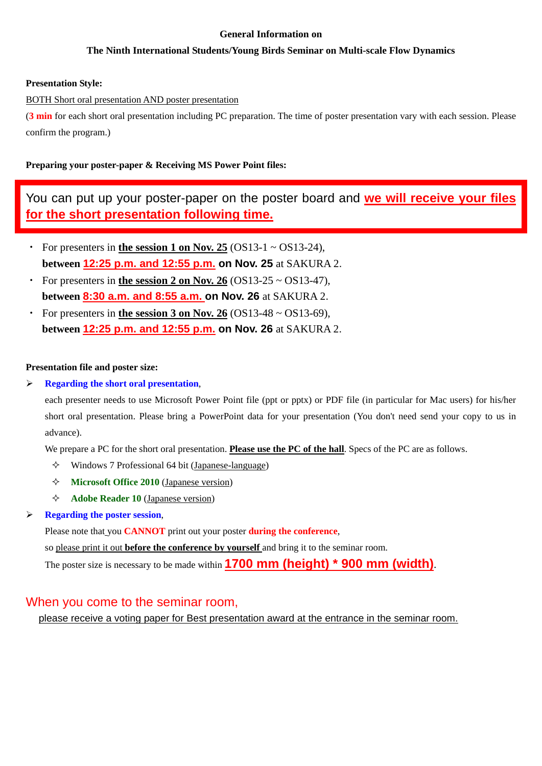#### **General Information on**

## **The Ninth International Students/Young Birds Seminar on Multi-scale Flow Dynamics**

### **Presentation Style:**

BOTH Short oral presentation AND poster presentation

(**3 min** for each short oral presentation including PC preparation. The time of poster presentation vary with each session. Please confirm the program.)

## **Preparing your poster-paper & Receiving MS Power Point files:**

You can put up your poster-paper on the poster board and **we will receive your files for the short presentation following time.** 

- For presenters in **the session 1 on Nov. 25**  $(OS13-1 ~ OS13-24)$ , **between 12:25 p.m. and 12:55 p.m. on Nov. 25** at SAKURA 2.
- For presenters in **the session 2 on Nov. 26**  $(OS13-25 \sim OS13-47)$ , **between 8:30 a.m. and 8:55 a.m. on Nov. 26** at SAKURA 2.
- For presenters in **the session 3 on Nov. 26**  $(OS13-48 \sim OS13-69)$ , **between 12:25 p.m. and 12:55 p.m. on Nov. 26** at SAKURA 2.

#### **Presentation file and poster size:**

**Regarding the short oral presentation**,

each presenter needs to use Microsoft Power Point file (ppt or pptx) or PDF file (in particular for Mac users) for his/her short oral presentation. Please bring a PowerPoint data for your presentation (You don't need send your copy to us in advance).

We prepare a PC for the short oral presentation. **Please use the PC of the hall**. Specs of the PC are as follows.

- $\Diamond$  Windows 7 Professional 64 bit (Japanese-language)
- **Microsoft Office 2010** (Japanese version)
- **Adobe Reader 10** (Japanese version)

## **Regarding the poster session**,

Please note that you **CANNOT** print out your poster **during the conference**,

so please print it out **before the conference by yourself** and bring it to the seminar room.

The poster size is necessary to be made within **1700 mm (height) \* 900 mm (width)**.

## When you come to the seminar room,

please receive a voting paper for Best presentation award at the entrance in the seminar room.